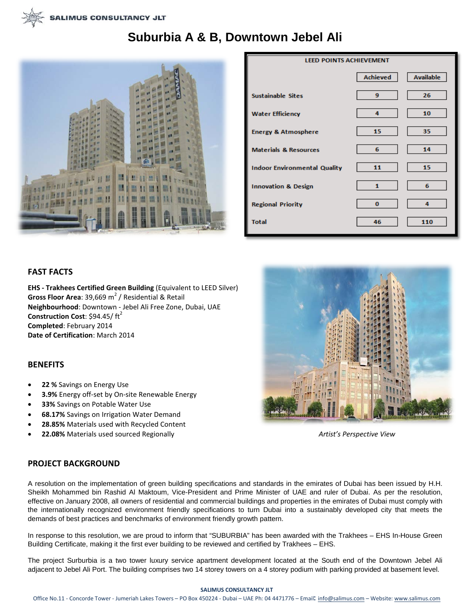# **Suburbia A & B, Downtown Jebel Ali**



| <b>LEED POINTS ACHIEVEMENT</b>      |                 |                  |
|-------------------------------------|-----------------|------------------|
|                                     | <b>Achieved</b> | <b>Available</b> |
| <b>Sustainable Sites</b>            | 9               | 26               |
| <b>Water Efficiency</b>             | 4               | 10               |
| <b>Energy &amp; Atmosphere</b>      | 15              | 35               |
| <b>Materials &amp; Resources</b>    | 6               | 14               |
| <b>Indoor Environmental Quality</b> | 11              | 15               |
| <b>Innovation &amp; Design</b>      | 1               | 6                |
| <b>Regional Priority</b>            | 0               | 4                |
| <b>Total</b>                        | 46              | 110              |

## **FAST FACTS**

**EHS - Trakhees Certified Green Building** (Equivalent to LEED Silver) **Gross Floor Area**: 39,669 m<sup>2</sup> / Residential & Retail **Neighbourhood**: Downtown - Jebel Ali Free Zone, Dubai, UAE **Construction Cost: \$94.45/ft<sup>2</sup> Completed**: February 2014 **Date of Certification**: March 2014

### **BENEFITS**

- **22 %** Savings on Energy Use
- **3.9%** Energy off-set by On-site Renewable Energy
- **33%** Savings on Potable Water Use
- **68.17%** Savings on Irrigation Water Demand
- **28.85%** Materials used with Recycled Content
- **22.08%** Materials used sourced Regionally *Artist's Perspective View*



### **PROJECT BACKGROUND**

A resolution on the implementation of green building specifications and standards in the emirates of Dubai has been issued by H.H. Sheikh Mohammed bin Rashid Al Maktoum, Vice-President and Prime Minister of UAE and ruler of Dubai. As per the resolution, effective on January 2008, all owners of residential and commercial buildings and properties in the emirates of Dubai must comply with the internationally recognized environment friendly specifications to turn Dubai into a sustainably developed city that meets the demands of best practices and benchmarks of environment friendly growth pattern.

In response to this resolution, we are proud to inform that "SUBURBIA" has been awarded with the Trakhees – EHS In-House Green Building Certificate, making it the first ever building to be reviewed and certified by Trakhees – EHS.

The project Surburbia is a two tower luxury service apartment development located at the South end of the Downtown Jebel Ali adjacent to Jebel Ali Port. The building comprises two 14 storey towers on a 4 storey podium with parking provided at basement level.

#### **SALIMUS CONSULTANCY JLT**